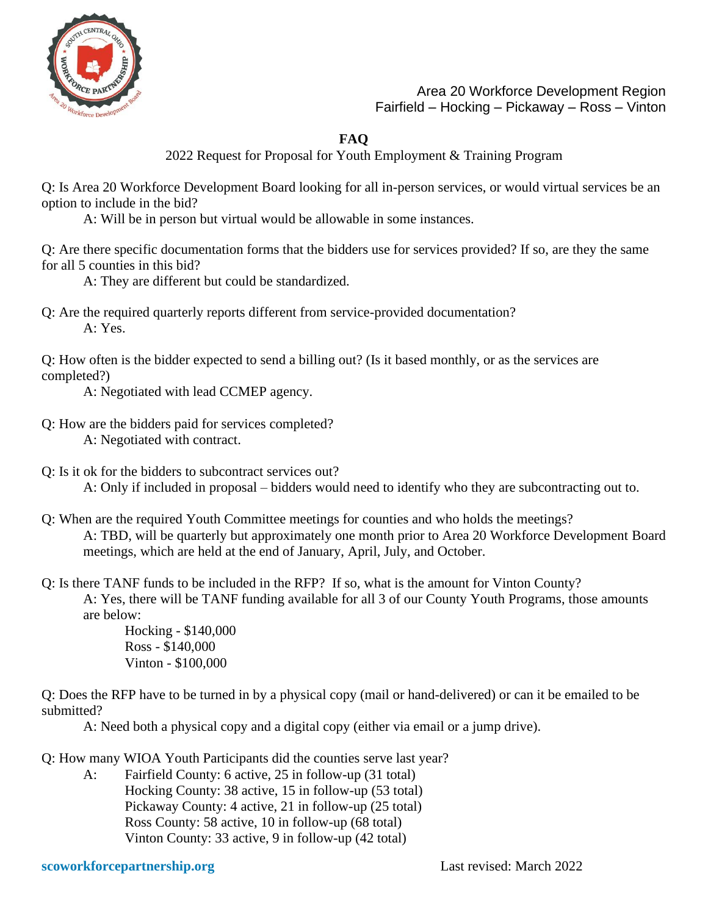

Area 20 Workforce Development Region Fairfield – Hocking – Pickaway – Ross – Vinton

## **FAQ**

2022 Request for Proposal for Youth Employment & Training Program

Q: Is Area 20 Workforce Development Board looking for all in-person services, or would virtual services be an option to include in the bid?

A: Will be in person but virtual would be allowable in some instances.

Q: Are there specific documentation forms that the bidders use for services provided? If so, are they the same for all 5 counties in this bid?

A: They are different but could be standardized.

Q: Are the required quarterly reports different from service-provided documentation? A: Yes.

Q: How often is the bidder expected to send a billing out? (Is it based monthly, or as the services are completed?)

A: Negotiated with lead CCMEP agency.

- Q: How are the bidders paid for services completed? A: Negotiated with contract.
- Q: Is it ok for the bidders to subcontract services out? A: Only if included in proposal – bidders would need to identify who they are subcontracting out to.
- Q: When are the required Youth Committee meetings for counties and who holds the meetings? A: TBD, will be quarterly but approximately one month prior to Area 20 Workforce Development Board meetings, which are held at the end of January, April, July, and October.
- Q: Is there TANF funds to be included in the RFP? If so, what is the amount for Vinton County? A: Yes, there will be TANF funding available for all 3 of our County Youth Programs, those amounts are below:

Hocking - \$140,000 Ross - \$140,000 Vinton - \$100,000

Q: Does the RFP have to be turned in by a physical copy (mail or hand-delivered) or can it be emailed to be submitted?

A: Need both a physical copy and a digital copy (either via email or a jump drive).

Q: How many WIOA Youth Participants did the counties serve last year?

A: Fairfield County: 6 active, 25 in follow-up (31 total) Hocking County: 38 active, 15 in follow-up (53 total) Pickaway County: 4 active, 21 in follow-up (25 total) Ross County: 58 active, 10 in follow-up (68 total) Vinton County: 33 active, 9 in follow-up (42 total)